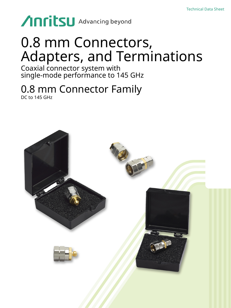# **Anritsu** Advancing beyond

## 0.8 mm Connectors, Adapters, and Terminations

Coaxial connector system with single-mode performance to 145 GHz

## 0.8 mm Connector Family DC to 145 GHz

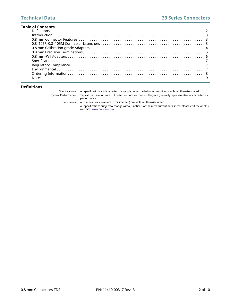| <b>Table of Contents</b> |  |  |  |  |
|--------------------------|--|--|--|--|
|                          |  |  |  |  |
|                          |  |  |  |  |
|                          |  |  |  |  |
|                          |  |  |  |  |
|                          |  |  |  |  |
|                          |  |  |  |  |
|                          |  |  |  |  |
|                          |  |  |  |  |
|                          |  |  |  |  |
|                          |  |  |  |  |
|                          |  |  |  |  |
|                          |  |  |  |  |
|                          |  |  |  |  |

## <span id="page-1-0"></span>**Definitions**

| Specifications      | All specifications and characteristics apply under the following conditions, unless otherwise stated:        |
|---------------------|--------------------------------------------------------------------------------------------------------------|
| Tvpical Performance | Typical specifications are not tested and not warranted. They are generally representative of characteristic |
|                     | performance.                                                                                                 |
| <b>Dimensions</b>   | All dimensions shown are in millimeters (mm) unless otherwise noted.                                         |

All specifications subject to change without notice. For the most current data sheet, please visit the Anritsu web site: [www.anritsu.com](http://www.anritsu.com)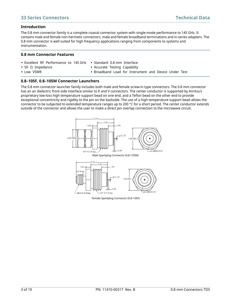## <span id="page-2-0"></span>**Introduction**

The 0.8 mm connector family is a complete coaxial connector system with single-mode performance to 145 GHz. It contains male and female non-hermetic connectors, male and female broadband terminations and in-series adapters. The 0.8 mm connector is well suited for high frequency applications ranging from components to systems and instrumentation.

## <span id="page-2-1"></span>**0.8 mm Connector Features**

- Excellent RF Performance to 145 GHz Standard 0.8 mm Interface
- 50 Ω Impedance

**•** Low VSWR

- Accurate Testing Capability
- Broadband Load for Instrument and Device Under Test

## <span id="page-2-2"></span>**0.8–105F, 0.8–105M Connector Launchers**

The 0.8 mm connector launcher family includes both male and female screw-in type connectors. The 0.8 mm connector has an air dielectric front-side interface similar to K and V connectors. The center conductor is supported by Anritsu's proprietary low-loss high temperature support bead on one end, and a Teflon bead on the other end to provide exceptional concentricity and rigidity to the pin on the backside. The use of a high temperature support bead allows the connector to be subjected to extended temperature ranges up to 200 °C for a short period. The center conductor extends outside of the connector and allows the user to make a direct pin overlap connection to the microwave circuit.



Female Sparkplug Connector (0.8–105F)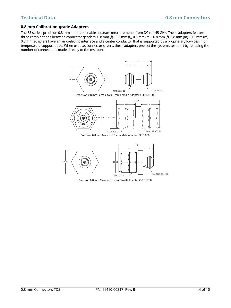## <span id="page-3-0"></span>**0.8 mm Calibration-grade Adapters**

The 33 series, precision 0.8 mm adapters enable accurate measurements from DC to 145 GHz. These adapters feature three combinations between connector genders: 0.8 mm (f) - 0.8 mm (f), 0.8 mm (m) - 0.8 mm (f), 0.8 mm (m) - 0.8 mm (m). 0.8 mm adapters have an air dielectric interface and a center conductor that is supported by a proprietary low-loss, high temperature support bead. When used as connector savers, these adapters protect the system's test port by reducing the number of connections made directly to the test port.



 $M3.5 \times 0.35-6H$  M3.5 X 0.35-6G

Precision 0.8 mm Male to 0.8 mm Female Adapter (33.8.8F50)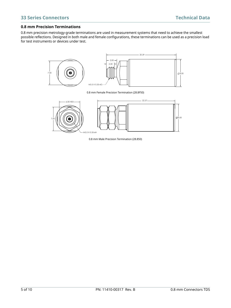## <span id="page-4-0"></span>**0.8 mm Precision Terminations**

0.8 mm precision metrology-grade terminations are used in measurement systems that need to achieve the smallest possible reflections. Designed in both male and female configurations, these terminations can be used as a precision load for test instruments or devices under test.



0.8 mm Female Precision Termination (28.8F50)



0.8 mm Male Precision Termination (28.850)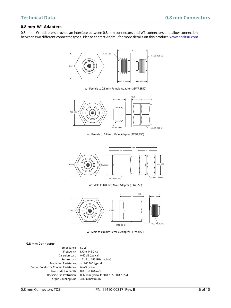## <span id="page-5-0"></span>**0.8 mm–W1 Adapters**

[0.8 mm – W1 adapters provide an interface between 0.8 mm connectors and W1 connectors and allow connections](http://www.anritsu.com)  [between two different connector types. Please contact Anritsu for more details on this product.](http://www.anritsu.com) www.anritsu.com



W1 Female to 0.8 mm Male Adapter (33WF.850)

 $M4 \times 0.7-6G$   $M3.5 \times 0.35-6H$ 



W1 Male to 0.8 mm Male Adapter (33W.850)



W1 Male to 0.8 mm Female Adapter (33W.8F50)

| 0.8 mm Connector                    |                                        |
|-------------------------------------|----------------------------------------|
| Impedance                           | 50 $\Omega$                            |
| Frequency                           | DC to 145 GHz                          |
| <b>Insertion Loss</b>               | 0.60 dB (typical)                      |
| Return Loss                         | 15 dB to 145 GHz (typical)             |
| <b>Insulation Resistance</b>        | $>$ 1200 MΩ typical                    |
| Center Conductor Contact Resistance | $6 \text{ mA}$ typical                 |
| Front-side Pin Depth                | 0.0 to -0.076 mm                       |
| Backside Pin Protrusion             | 0.32 mm typical for 0.8-105F, 0.8-105M |
| <b>Torque Coupling Nut</b>          | 4 in-lb maximum                        |
|                                     |                                        |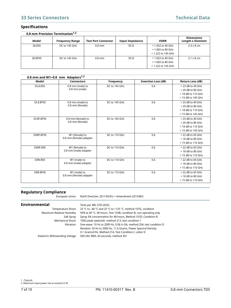## **33 Series Connectors Technical Data**

## <span id="page-6-0"></span>**Specifications**

| 0.8 mm Precision Termination <sup>1,2</sup> |                        |                            |                        |                                                                    |                                        |
|---------------------------------------------|------------------------|----------------------------|------------------------|--------------------------------------------------------------------|----------------------------------------|
| Model                                       | <b>Frequency Range</b> | <b>Test Port Connector</b> | <b>Input Impedance</b> | <b>VSWR</b>                                                        | <b>Dimensions</b><br>Length x Diameter |
| 28.850                                      | DC to 145 GHz          | $0.8$ mm                   | 50 $\Omega$            | $<$ 1.052 to 40 GHz<br>< 1.065 to 80 GHz<br>< 1.222 to 145 GHz     | $2.3 \times 8$ cm                      |
| 28.8F50                                     | DC to 145 GHz          | $0.8$ mm                   | 50 $\Omega$            | $<$ 1.052 to 40 GHz<br>$<$ 1.065 to 80 GHz<br>$<$ 1.222 to 145 GHz | $2.1 \times 8$ cm                      |

| 0.8 mm and W1-0.8 mm Adapters <sup>1,2</sup> |                         |               |                            |                         |  |
|----------------------------------------------|-------------------------|---------------|----------------------------|-------------------------|--|
| Model                                        | <b>Connectors</b>       | Frequency     | <b>Insertion Loss (dB)</b> | <b>Return Loss (dB)</b> |  |
| 33.8.850                                     | 0.8 mm (male) to        | DC to 145 GHz | 0.6                        | > 23 dB to 40 GHz       |  |
|                                              | $0.8$ mm (male)         |               |                            | $>$ 20 dB to 80 GHz     |  |
|                                              |                         |               |                            | > 18 dB to 110 GHz      |  |
|                                              |                         |               |                            | > 15 dB to 145 GHz      |  |
| 33.8.8F50                                    | 0.8 mm (male) to        | DC to 145 GHz | 0.6                        | > 23 dB to 40 GHz       |  |
|                                              | 0.8 mm (female)         |               |                            | $> 20$ dB to 80 GHz     |  |
|                                              |                         |               |                            | > 18 dB to 110 GHz      |  |
|                                              |                         |               |                            | > 15 dB to 145 GHz      |  |
| 33.8F.8F50                                   | 0.8 mm (female) to      | DC to 145 GHz | 0.6                        | > 23 dB to 40 GHz       |  |
|                                              | 0.8 mm (female)         |               |                            | $>$ 20 dB to 80 GHz     |  |
|                                              |                         |               |                            | > 18 dB to 110 GHz      |  |
|                                              |                         |               |                            | > 15 dB to 145 GHz      |  |
| 33WF.8F50                                    | W1 (female) to          | DC to 110 GHz | 0.6                        | > 22 dB to 65 GHz       |  |
|                                              | 0.8 mm (female) adapter |               |                            | $>$ 18 dB to 80 GHz     |  |
|                                              |                         |               |                            | > 15 dB to 110 GHz      |  |
| 33WF.850                                     | W1 (female) to          | DC to 110 GHz | 0.6                        | > 22 dB to 65 GHz       |  |
|                                              | 0.8 mm (male) adapter   |               |                            | $>$ 18 dB to 80 GHz     |  |
|                                              |                         |               |                            | > 15 dB to 110 GHz      |  |
| 33W.850                                      | W1 (male) to            | DC to 110 GHz | 0.6                        | > 22 dB to 65 GHz       |  |
|                                              | 0.8 mm (male) adapter   |               |                            | > 18 dB to 80 GHz       |  |
|                                              |                         |               |                            | > 15 dB to 110 GHz      |  |
| 33W.8F50                                     | W1 (male) to            | DC to 110 GHz | 0.6                        | $>$ 22 dB to 65 GHz     |  |
|                                              | 0.8 mm (female) adapter |               |                            | > 18 dB to 80 GHz       |  |
|                                              |                         |               |                            | > 15 dB to 110 GHz      |  |

### <span id="page-6-1"></span>**Regulatory Compliance**

European Union RoHS Directive: 2011/65/EU + Amendment 2015/863

### <span id="page-6-2"></span>**Environmental** Tests per MIL-STD-202G:

Temperature Shock 25 °C to –40 °C and 25 °C to +125 °C, method 107G, condition Maximum Relative Humidity 95% at 40 °C, 96 hours, Test 103B, condition B, non operating only Salt Spray Spray 5% concentration for 48 hours, Method 101D, Condition B Mechanical Shock 100G peak sawtooth, method 213, test condition 1 Vibration Sine wave: 10 Hz to 2000 Hz, 0.06 in DA, method 204, test condition D Random: 50 Hz to 2000 Hz, 11.6 Grams, Power Spectral Density 0.1 Grams2/Hz, Method 214, Test Condition I, Letter D Dielectric Withstanding Voltage 500 VAC RMS, 60 seconds, method 301

1. (Typical)

2. Maximum input power not to exceed 0.5 W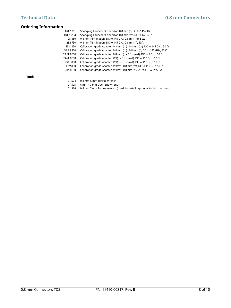<span id="page-7-0"></span>

| <b>Ordering Information</b> |                                                                                                                    |  |  |  |  |
|-----------------------------|--------------------------------------------------------------------------------------------------------------------|--|--|--|--|
| $0.8 - 105F$                | Sparkplug Launcher Connector, 0.8 mm (f), DC to 145 GHz<br>Sparkplug Launcher Connector, 0.8 mm (m), DC to 145 GHz |  |  |  |  |
| $0.8 - 105M$                |                                                                                                                    |  |  |  |  |
| 28.850                      | 0.8 mm Termination. DC to 145 GHz. 0.8 mm (m). $50\Omega$                                                          |  |  |  |  |
| 28.8F50                     | 0.8 mm Termination, DC to 145 GHz, 0.8 mm (f), $50\Omega$                                                          |  |  |  |  |
| 33.8.850                    | Calibration-grade Adapter, 0.8 mm (m) - 0.8 mm (m), DC to 145 GHz, 50 $\Omega$                                     |  |  |  |  |
| 33.8.8F50                   | Calibration-grade Adapter, 0.8 mm (m) - 0.8 mm (f), DC to 145 GHz, 50 $\Omega$                                     |  |  |  |  |
| 33.8F.8F50                  | Calibration-grade Adapter, 0.8 mm (f) - 0.8 mm (f), DC-145 GHz, 50 $\Omega$                                        |  |  |  |  |
| 33WF.8F50                   | Calibration-grade Adapter, W1(f) - 0.8 mm (f), DC to 110 GHz, 50 $\Omega$                                          |  |  |  |  |
| 33WF.850                    | Calibration-grade Adapter, W1(f) - 0.8 mm (f), DC to 110 GHz, 50 $\Omega$                                          |  |  |  |  |
| 33W.850                     | Calibration-grade Adapter, W1(m) - 0.8 mm (m), DC to 110 GHz, 50 $\Omega$                                          |  |  |  |  |
| 33W.8F50                    | Calibration-grade Adapter, W1(m) - 0.8 mm (f), DC to 110 GHz, 50 $\Omega$                                          |  |  |  |  |
| <b>Tools</b>                |                                                                                                                    |  |  |  |  |
| 01-524                      | 0.8 mm-6 mm Torque Wrench                                                                                          |  |  |  |  |
| 01-525                      | 6 mm x 7 mm Open End Wrench                                                                                        |  |  |  |  |

01-526 0.8 mm 7 mm Torque Wrench (Used for installing connector into housing)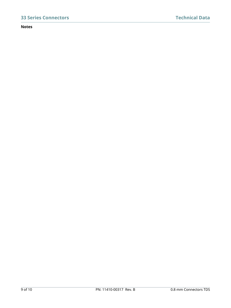## <span id="page-8-0"></span>**Notes**